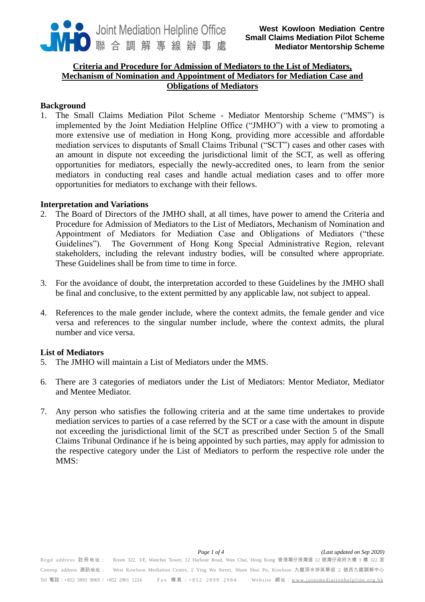

## **Criteria and Procedure for Admission of Mediators to the List of Mediators, Mechanism of Nomination and Appointment of Mediators for Mediation Case and Obligations of Mediators**

### **Background**

1. The Small Claims Mediation Pilot Scheme - Mediator Mentorship Scheme ("MMS") is implemented by the Joint Mediation Helpline Office ("JMHO") with a view to promoting a more extensive use of mediation in Hong Kong, providing more accessible and affordable mediation services to disputants of Small Claims Tribunal ("SCT") cases and other cases with an amount in dispute not exceeding the jurisdictional limit of the SCT, as well as offering opportunities for mediators, especially the newly-accredited ones, to learn from the senior mediators in conducting real cases and handle actual mediation cases and to offer more opportunities for mediators to exchange with their fellows.

### **Interpretation and Variations**

- 2. The Board of Directors of the JMHO shall, at all times, have power to amend the Criteria and Procedure for Admission of Mediators to the List of Mediators, Mechanism of Nomination and Appointment of Mediators for Mediation Case and Obligations of Mediators ("these Guidelines"). The Government of Hong Kong Special Administrative Region, relevant stakeholders, including the relevant industry bodies, will be consulted where appropriate. These Guidelines shall be from time to time in force.
- 3. For the avoidance of doubt, the interpretation accorded to these Guidelines by the JMHO shall be final and conclusive, to the extent permitted by any applicable law, not subject to appeal.
- 4. References to the male gender include, where the context admits, the female gender and vice versa and references to the singular number include, where the context admits, the plural number and vice versa.

## **List of Mediators**

- 5. The JMHO will maintain a List of Mediators under the MMS.
- 6. There are 3 categories of mediators under the List of Mediators: Mentor Mediator, Mediator and Mentee Mediator.
- 7. Any person who satisfies the following criteria and at the same time undertakes to provide mediation services to parties of a case referred by the SCT or a case with the amount in dispute not exceeding the jurisdictional limit of the SCT as prescribed under Section 5 of the Small Claims Tribunal Ordinance if he is being appointed by such parties, may apply for admission to the respective category under the List of Mediators to perform the respective role under the MMS: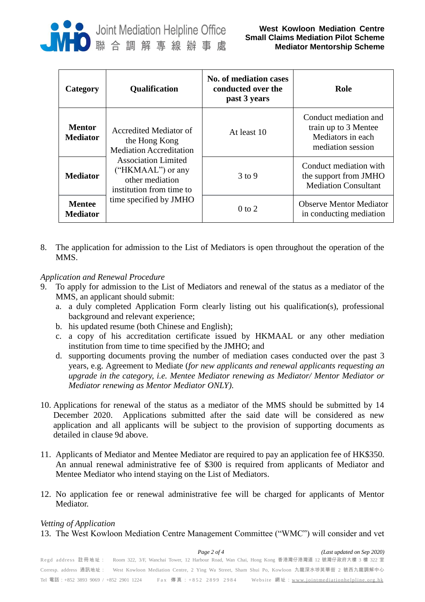

| Category                         | <b>Qualification</b>                                                                                                                                                                                  | <b>No. of mediation cases</b><br>conducted over the<br>past 3 years | Role                                                                                    |
|----------------------------------|-------------------------------------------------------------------------------------------------------------------------------------------------------------------------------------------------------|---------------------------------------------------------------------|-----------------------------------------------------------------------------------------|
| <b>Mentor</b><br><b>Mediator</b> | Accredited Mediator of<br>the Hong Kong<br><b>Mediation Accreditation</b><br><b>Association Limited</b><br>("HKMAAL") or any<br>other mediation<br>institution from time to<br>time specified by JMHO | At least 10                                                         | Conduct mediation and<br>train up to 3 Mentee<br>Mediators in each<br>mediation session |
| <b>Mediator</b>                  |                                                                                                                                                                                                       | $3$ to 9                                                            | Conduct mediation with<br>the support from JMHO<br><b>Mediation Consultant</b>          |
| <b>Mentee</b><br><b>Mediator</b> |                                                                                                                                                                                                       | $0$ to $2$                                                          | <b>Observe Mentor Mediator</b><br>in conducting mediation                               |

8. The application for admission to the List of Mediators is open throughout the operation of the MMS.

# *Application and Renewal Procedure*

- 9. To apply for admission to the List of Mediators and renewal of the status as a mediator of the MMS, an applicant should submit:
	- a. a duly completed Application Form clearly listing out his qualification(s), professional background and relevant experience;
	- b. his updated resume (both Chinese and English);
	- c. a copy of his accreditation certificate issued by HKMAAL or any other mediation institution from time to time specified by the JMHO; and
	- d. supporting documents proving the number of mediation cases conducted over the past 3 years, e.g. Agreement to Mediate (*for new applicants and renewal applicants requesting an upgrade in the category, i.e. Mentee Mediator renewing as Mediator/ Mentor Mediator or Mediator renewing as Mentor Mediator ONLY)*.
- 10. Applications for renewal of the status as a mediator of the MMS should be submitted by 14 December 2020. Applications submitted after the said date will be considered as new application and all applicants will be subject to the provision of supporting documents as detailed in clause 9d above.
- 11. Applicants of Mediator and Mentee Mediator are required to pay an application fee of HK\$350. An annual renewal administrative fee of \$300 is required from applicants of Mediator and Mentee Mediator who intend staying on the List of Mediators.
- 12. No application fee or renewal administrative fee will be charged for applicants of Mentor Mediator.

### *Vetting of Application*

13. The West Kowloon Mediation Centre Management Committee ("WMC") will consider and vet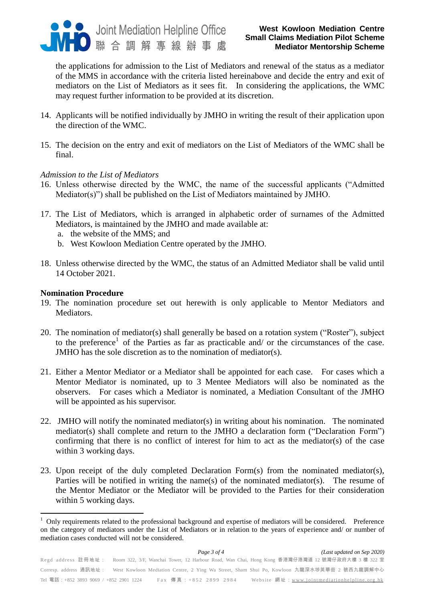

### **West Kowloon Mediation Centre Small Claims Mediation Pilot Scheme Mediator Mentorship Scheme**

the applications for admission to the List of Mediators and renewal of the status as a mediator of the MMS in accordance with the criteria listed hereinabove and decide the entry and exit of mediators on the List of Mediators as it sees fit. In considering the applications, the WMC may request further information to be provided at its discretion.

- 14. Applicants will be notified individually by JMHO in writing the result of their application upon the direction of the WMC.
- 15. The decision on the entry and exit of mediators on the List of Mediators of the WMC shall be final.

### *Admission to the List of Mediators*

- 16. Unless otherwise directed by the WMC, the name of the successful applicants ("Admitted Mediator(s)") shall be published on the List of Mediators maintained by JMHO.
- 17. The List of Mediators, which is arranged in alphabetic order of surnames of the Admitted Mediators, is maintained by the JMHO and made available at:
	- a. the website of the MMS; and
	- b. West Kowloon Mediation Centre operated by the JMHO.
- 18. Unless otherwise directed by the WMC, the status of an Admitted Mediator shall be valid until 14 October 2021.

#### **Nomination Procedure**

 $\overline{a}$ 

- 19. The nomination procedure set out herewith is only applicable to Mentor Mediators and Mediators.
- 20. The nomination of mediator(s) shall generally be based on a rotation system ("Roster"), subject to the preference<sup>1</sup> of the Parties as far as practicable and/ or the circumstances of the case. JMHO has the sole discretion as to the nomination of mediator(s).
- 21. Either a Mentor Mediator or a Mediator shall be appointed for each case. For cases which a Mentor Mediator is nominated, up to 3 Mentee Mediators will also be nominated as the observers. For cases which a Mediator is nominated, a Mediation Consultant of the JMHO will be appointed as his supervisor.
- 22. JMHO will notify the nominated mediator(s) in writing about his nomination. The nominated mediator(s) shall complete and return to the JMHO a declaration form ("Declaration Form") confirming that there is no conflict of interest for him to act as the mediator(s) of the case within 3 working days.
- 23. Upon receipt of the duly completed Declaration Form(s) from the nominated mediator(s), Parties will be notified in writing the name(s) of the nominated mediator(s). The resume of the Mentor Mediator or the Mediator will be provided to the Parties for their consideration within 5 working days.

<sup>1</sup> Only requirements related to the professional background and expertise of mediators will be considered. Preference on the category of mediators under the List of Mediators or in relation to the years of experience and/ or number of mediation cases conducted will not be considered.